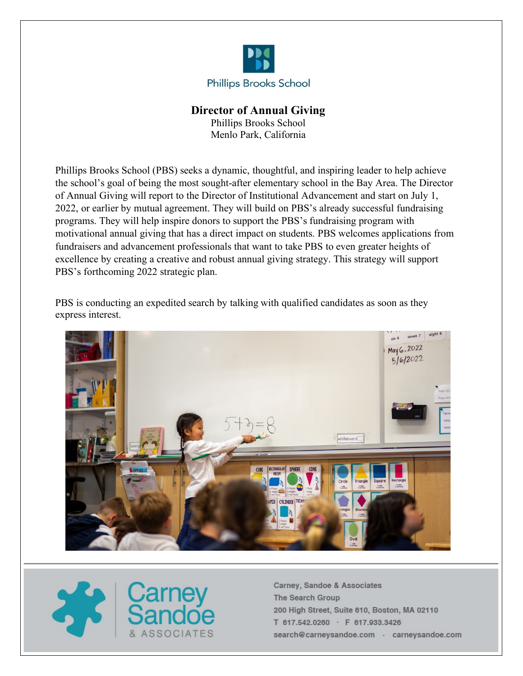

# **Director of Annual Giving**

Phillips Brooks School Menlo Park, California

Phillips Brooks School (PBS) seeks a dynamic, thoughtful, and inspiring leader to help achieve the school's goal of being the most sought-after elementary school in the Bay Area. The Director of Annual Giving will report to the Director of Institutional Advancement and start on July 1, 2022, or earlier by mutual agreement. They will build on PBS's already successful fundraising programs. They will help inspire donors to support the PBS's fundraising program with motivational annual giving that has a direct impact on students. PBS welcomes applications from fundraisers and advancement professionals that want to take PBS to even greater heights of excellence by creating a creative and robust annual giving strategy. This strategy will support PBS's forthcoming 2022 strategic plan.

PBS is conducting an expedited search by talking with qualified candidates as soon as they express interest.



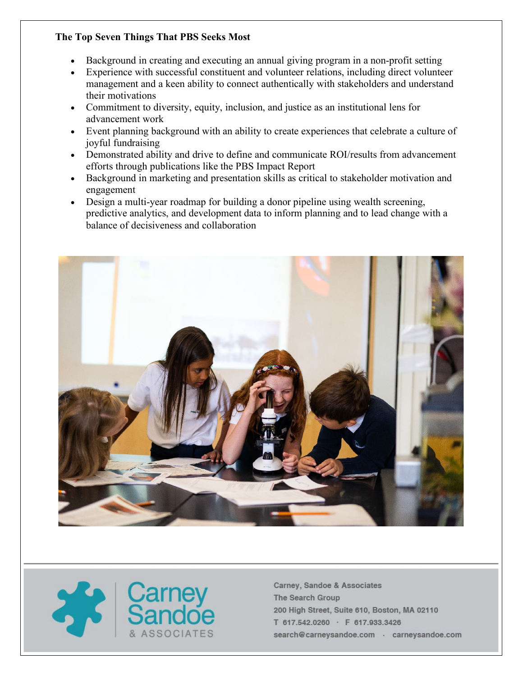## **The Top Seven Things That PBS Seeks Most**

- Background in creating and executing an annual giving program in a non-profit setting
- Experience with successful constituent and volunteer relations, including direct volunteer management and a keen ability to connect authentically with stakeholders and understand their motivations
- Commitment to diversity, equity, inclusion, and justice as an institutional lens for advancement work
- Event planning background with an ability to create experiences that celebrate a culture of joyful fundraising
- Demonstrated ability and drive to define and communicate ROI/results from advancement efforts through publications like the PBS Impact Report
- Background in marketing and presentation skills as critical to stakeholder motivation and engagement
- Design a multi-year roadmap for building a donor pipeline using wealth screening, predictive analytics, and development data to inform planning and to lead change with a balance of decisiveness and collaboration



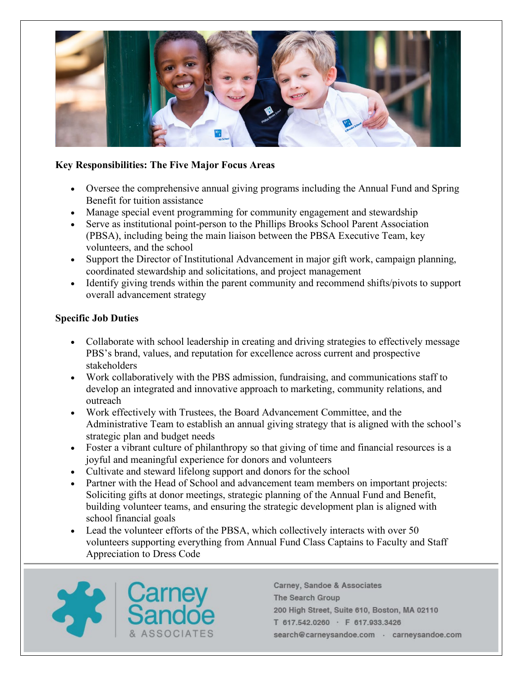

## **Key Responsibilities: The Five Major Focus Areas**

- Oversee the comprehensive annual giving programs including the Annual Fund and Spring Benefit for tuition assistance
- Manage special event programming for community engagement and stewardship
- Serve as institutional point-person to the Phillips Brooks School Parent Association (PBSA), including being the main liaison between the PBSA Executive Team, key volunteers, and the school
- Support the Director of Institutional Advancement in major gift work, campaign planning, coordinated stewardship and solicitations, and project management
- Identify giving trends within the parent community and recommend shifts/pivots to support overall advancement strategy

### **Specific Job Duties**

- Collaborate with school leadership in creating and driving strategies to effectively message PBS's brand, values, and reputation for excellence across current and prospective stakeholders
- Work collaboratively with the PBS admission, fundraising, and communications staff to develop an integrated and innovative approach to marketing, community relations, and outreach
- Work effectively with Trustees, the Board Advancement Committee, and the Administrative Team to establish an annual giving strategy that is aligned with the school's strategic plan and budget needs
- Foster a vibrant culture of philanthropy so that giving of time and financial resources is a joyful and meaningful experience for donors and volunteers
- Cultivate and steward lifelong support and donors for the school
- Partner with the Head of School and advancement team members on important projects: Soliciting gifts at donor meetings, strategic planning of the Annual Fund and Benefit, building volunteer teams, and ensuring the strategic development plan is aligned with school financial goals
- Lead the volunteer efforts of the PBSA, which collectively interacts with over 50 volunteers supporting everything from Annual Fund Class Captains to Faculty and Staff Appreciation to Dress Code

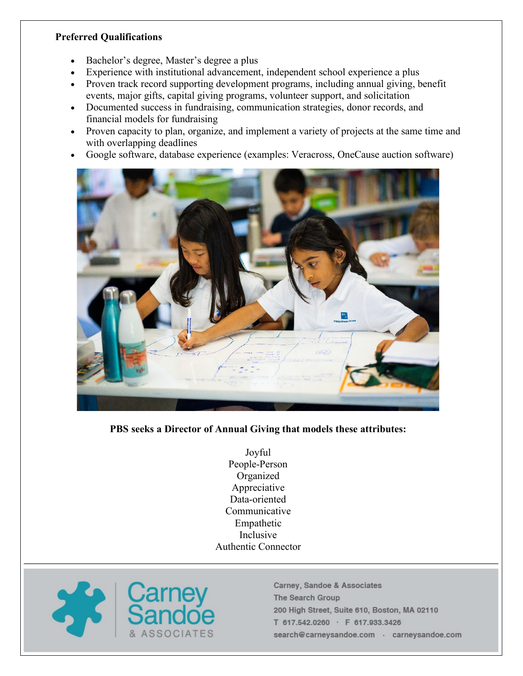## **Preferred Qualifications**

- Bachelor's degree, Master's degree a plus
- Experience with institutional advancement, independent school experience a plus
- Proven track record supporting development programs, including annual giving, benefit events, major gifts, capital giving programs, volunteer support, and solicitation
- Documented success in fundraising, communication strategies, donor records, and financial models for fundraising
- Proven capacity to plan, organize, and implement a variety of projects at the same time and with overlapping deadlines
- Google software, database experience (examples: Veracross, OneCause auction software)



### **PBS seeks a Director of Annual Giving that models these attributes:**

Joyful People-Person Organized Appreciative Data-oriented Communicative Empathetic Inclusive Authentic Connector